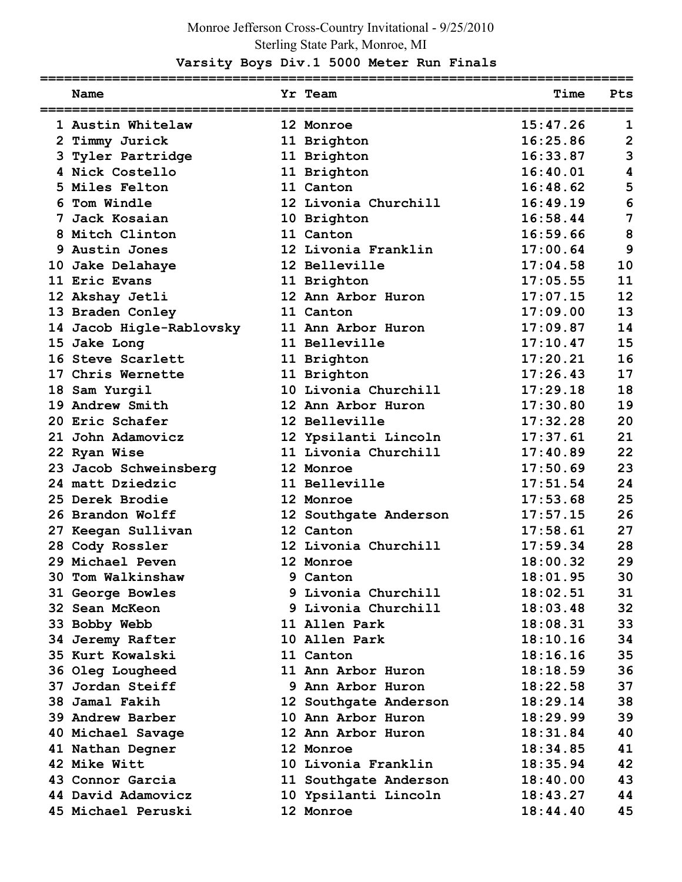## Monroe Jefferson Cross-Country Invitational - 9/25/2010 Sterling State Park, Monroe, MI

## **Varsity Boys Div.1 5000 Meter Run Finals**

| Name                     | Yr Team               | Time     | Pts            |
|--------------------------|-----------------------|----------|----------------|
| 1 Austin Whitelaw        | 12 Monroe             | 15:47.26 | 1              |
| 2 Timmy Jurick           | 11 Brighton           | 16:25.86 | $\overline{2}$ |
| 3 Tyler Partridge        | 11 Brighton           | 16:33.87 | 3              |
| 4 Nick Costello          | 11 Brighton           | 16:40.01 | 4              |
| 5 Miles Felton           | 11 Canton             | 16:48.62 | 5              |
| 6 Tom Windle             | 12 Livonia Churchill  | 16:49.19 | 6              |
| 7 Jack Kosaian           | 10 Brighton           | 16:58.44 | 7              |
| 8 Mitch Clinton          | 11 Canton             | 16:59.66 | 8              |
| 9 Austin Jones           | 12 Livonia Franklin   | 17:00.64 | 9              |
| 10 Jake Delahaye         | 12 Belleville         | 17:04.58 | 10             |
| 11 Eric Evans            | 11 Brighton           | 17:05.55 | 11             |
| 12 Akshay Jetli          | 12 Ann Arbor Huron    | 17:07.15 | 12             |
| 13 Braden Conley         | 11 Canton             | 17:09.00 | 13             |
| 14 Jacob Higle-Rablovsky | 11 Ann Arbor Huron    | 17:09.87 | 14             |
| 15 Jake Long             | 11 Belleville         | 17:10.47 | 15             |
| 16 Steve Scarlett        | 11 Brighton           | 17:20.21 | 16             |
| 17 Chris Wernette        | 11 Brighton           | 17:26.43 | 17             |
| 18 Sam Yurgil            | 10 Livonia Churchill  | 17:29.18 | 18             |
| 19 Andrew Smith          | 12 Ann Arbor Huron    | 17:30.80 | 19             |
| 20 Eric Schafer          | 12 Belleville         | 17:32.28 | 20             |
| 21 John Adamovicz        | 12 Ypsilanti Lincoln  | 17:37.61 | 21             |
| 22 Ryan Wise             | 11 Livonia Churchill  | 17:40.89 | 22             |
| 23 Jacob Schweinsberg    | 12 Monroe             | 17:50.69 | 23             |
| 24 matt Dziedzic         | 11 Belleville         | 17:51.54 | 24             |
| 25 Derek Brodie          | 12 Monroe             | 17:53.68 | 25             |
| 26 Brandon Wolff         | 12 Southgate Anderson | 17:57.15 | 26             |
| 27 Keegan Sullivan       | 12 Canton             | 17:58.61 | 27             |
| 28 Cody Rossler          | 12 Livonia Churchill  | 17:59.34 | 28             |
| 29 Michael Peven         | 12 Monroe             | 18:00.32 | 29             |
| 30 Tom Walkinshaw        | 9 Canton              | 18:01.95 | 30             |
| 31 George Bowles         | 9 Livonia Churchill   | 18:02.51 | 31             |
| 32 Sean McKeon           | 9 Livonia Churchill   | 18:03.48 | 32             |
| 33 Bobby Webb            | 11 Allen Park         | 18:08.31 | 33             |
| 34 Jeremy Rafter         | 10 Allen Park         | 18:10.16 | 34             |
| 35 Kurt Kowalski         | 11 Canton             | 18:16.16 | 35             |
| 36 Oleg Lougheed         | 11 Ann Arbor Huron    | 18:18.59 | 36             |
| 37 Jordan Steiff         | 9 Ann Arbor Huron     | 18:22.58 | 37             |
| 38 Jamal Fakih           | 12 Southgate Anderson | 18:29.14 | 38             |
| 39 Andrew Barber         | 10 Ann Arbor Huron    | 18:29.99 | 39             |
| 40 Michael Savage        | 12 Ann Arbor Huron    | 18:31.84 | 40             |
| 41 Nathan Degner         | 12 Monroe             | 18:34.85 | 41             |
| 42 Mike Witt             | 10 Livonia Franklin   | 18:35.94 | 42             |
| 43 Connor Garcia         | 11 Southgate Anderson | 18:40.00 | 43             |
| 44 David Adamovicz       | 10 Ypsilanti Lincoln  | 18:43.27 | 44             |
| 45 Michael Peruski       | 12 Monroe             | 18:44.40 | 45             |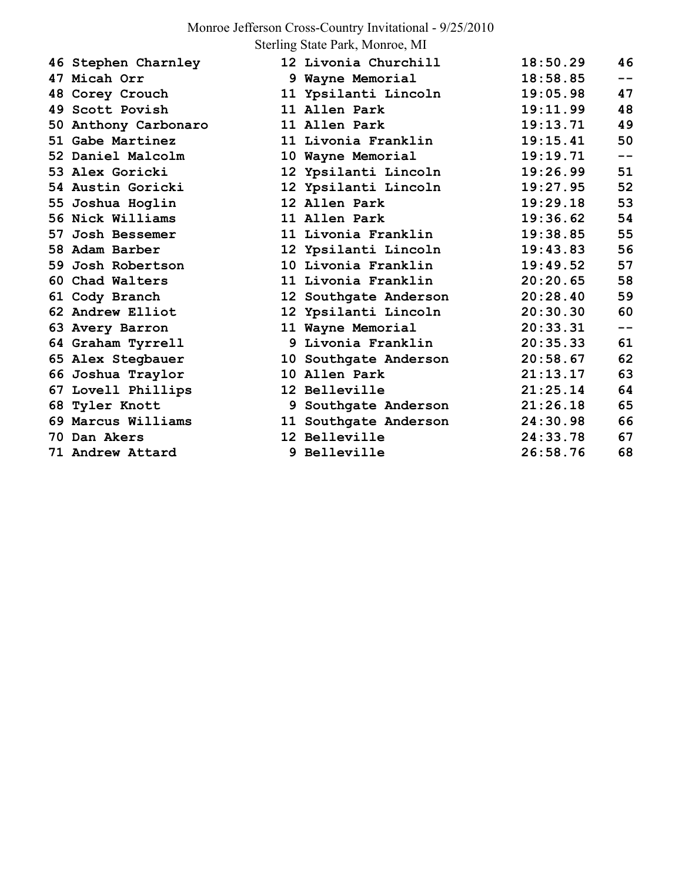## Monroe Jefferson Cross-Country Invitational - 9/25/2010

Sterling State Park, Monroe, MI

|  | 46 Stephen Charnley  | 12 Livonia Churchill  | 18:50.29 | 46    |
|--|----------------------|-----------------------|----------|-------|
|  | 47 Micah Orr         | 9 Wayne Memorial      | 18:58.85 | $- -$ |
|  | 48 Corey Crouch      | 11 Ypsilanti Lincoln  | 19:05.98 | 47    |
|  | 49 Scott Povish      | 11 Allen Park         | 19:11.99 | 48    |
|  | 50 Anthony Carbonaro | 11 Allen Park         | 19:13.71 | 49    |
|  | 51 Gabe Martinez     | 11 Livonia Franklin   | 19:15.41 | 50    |
|  | 52 Daniel Malcolm    | 10 Wayne Memorial     | 19:19.71 | $- -$ |
|  | 53 Alex Goricki      | 12 Ypsilanti Lincoln  | 19:26.99 | 51    |
|  | 54 Austin Goricki    | 12 Ypsilanti Lincoln  | 19:27.95 | 52    |
|  | 55 Joshua Hoglin     | 12 Allen Park         | 19:29.18 | 53    |
|  | 56 Nick Williams     | 11 Allen Park         | 19:36.62 | 54    |
|  | 57 Josh Bessemer     | 11 Livonia Franklin   | 19:38.85 | 55    |
|  | 58 Adam Barber       | 12 Ypsilanti Lincoln  | 19:43.83 | 56    |
|  | 59 Josh Robertson    | 10 Livonia Franklin   | 19:49.52 | 57    |
|  | 60 Chad Walters      | 11 Livonia Franklin   | 20:20.65 | 58    |
|  | 61 Cody Branch       | 12 Southgate Anderson | 20:28.40 | 59    |
|  | 62 Andrew Elliot     | 12 Ypsilanti Lincoln  | 20:30.30 | 60    |
|  | 63 Avery Barron      | 11 Wayne Memorial     | 20:33.31 | $- -$ |
|  | 64 Graham Tyrrell    | 9 Livonia Franklin    | 20:35.33 | 61    |
|  | 65 Alex Stegbauer    | 10 Southgate Anderson | 20:58.67 | 62    |
|  | 66 Joshua Traylor    | 10 Allen Park         | 21:13.17 | 63    |
|  | 67 Lovell Phillips   | 12 Belleville         | 21:25.14 | 64    |
|  | 68 Tyler Knott       | 9 Southgate Anderson  | 21:26.18 | 65    |
|  | 69 Marcus Williams   | 11 Southgate Anderson | 24:30.98 | 66    |
|  | 70 Dan Akers         | 12 Belleville         | 24:33.78 | 67    |
|  | 71 Andrew Attard     | 9 Belleville          | 26:58.76 | 68    |
|  |                      |                       |          |       |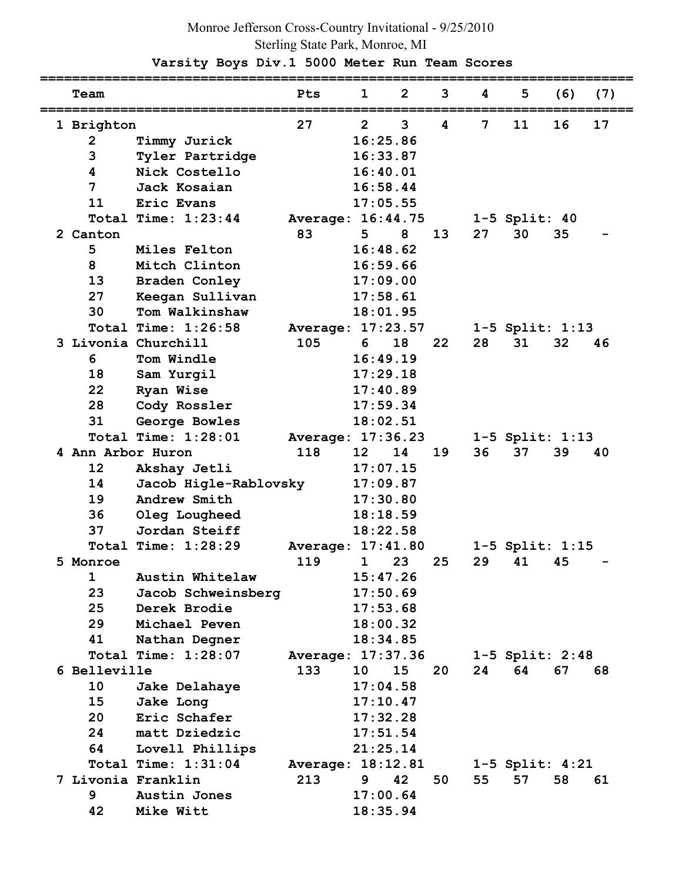## Monroe Jefferson Cross-Country Invitational - 9/25/2010 Sterling State Park, Monroe, MI

 **Varsity Boys Div.1 5000 Meter Run Team Scores** 

| Team              |                       | Pts               | 1               | $\overline{2}$ | 3  | 4  | 5                   | (6) | (7) |
|-------------------|-----------------------|-------------------|-----------------|----------------|----|----|---------------------|-----|-----|
| 1 Brighton        |                       | 27                | $\overline{2}$  | 3              | 4  | 7  | 11                  | 16  | 17  |
| $\overline{2}$    | Timmy Jurick          |                   | 16:25.86        |                |    |    |                     |     |     |
| 3                 | Tyler Partridge       |                   | 16:33.87        |                |    |    |                     |     |     |
| 4                 | Nick Costello         |                   | 16:40.01        |                |    |    |                     |     |     |
| 7                 | Jack Kosaian          |                   | 16:58.44        |                |    |    |                     |     |     |
| 11                | Eric Evans            |                   | 17:05.55        |                |    |    |                     |     |     |
|                   | Total Time: $1:23:44$ | Average: 16:44.75 |                 |                |    |    | $1-5$ Split: $40$   |     |     |
| 2 Canton          |                       | 83                | 5               | 8              | 13 | 27 | 30                  | 35  |     |
| 5                 | Miles Felton          |                   | 16:48.62        |                |    |    |                     |     |     |
| 8                 | Mitch Clinton         |                   | 16:59.66        |                |    |    |                     |     |     |
| 13                | Braden Conley         |                   | 17:09.00        |                |    |    |                     |     |     |
| 27                | Keegan Sullivan       |                   | 17:58.61        |                |    |    |                     |     |     |
| 30                | Tom Walkinshaw        |                   | 18:01.95        |                |    |    |                     |     |     |
|                   | Total Time: 1:26:58   | Average: 17:23.57 |                 |                |    |    | 1-5 Split: 1:13     |     |     |
|                   | 3 Livonia Churchill   | 105               | 6               | 18             | 22 | 28 | 31                  | 32  | 46  |
| 6                 | Tom Windle            |                   | 16:49.19        |                |    |    |                     |     |     |
| 18                | Sam Yurgil            |                   | 17:29.18        |                |    |    |                     |     |     |
| 22                | Ryan Wise             |                   | 17:40.89        |                |    |    |                     |     |     |
| 28                | Cody Rossler          |                   | 17:59.34        |                |    |    |                     |     |     |
| 31                | George Bowles         |                   | 18:02.51        |                |    |    |                     |     |     |
|                   | Total Time: 1:28:01   | Average: 17:36.23 |                 |                |    |    | 1-5 Split: 1:13     |     |     |
| 4 Ann Arbor Huron |                       | 118               | 12 <sup>2</sup> | 14             | 19 | 36 | 37                  | 39  | 40  |
| 12                | Akshay Jetli          |                   | 17:07.15        |                |    |    |                     |     |     |
| 14                | Jacob Higle-Rablovsky |                   | 17:09.87        |                |    |    |                     |     |     |
| 19                | Andrew Smith          |                   | 17:30.80        |                |    |    |                     |     |     |
| 36                | Oleg Lougheed         |                   | 18:18.59        |                |    |    |                     |     |     |
| 37                | Jordan Steiff         |                   | 18:22.58        |                |    |    |                     |     |     |
|                   | Total Time: 1:28:29   | Average: 17:41.80 |                 |                |    |    | $1-5$ Split: $1:15$ |     |     |
| 5 Monroe          |                       | 119               | $\mathbf{1}$    | 23             | 25 | 29 | 41                  | 45  |     |
| 1                 | Austin Whitelaw       |                   | 15:47.26        |                |    |    |                     |     |     |
| 23                | Jacob Schweinsberg    |                   | 17:50.69        |                |    |    |                     |     |     |
| 25                | Derek Brodie          |                   | 17:53.68        |                |    |    |                     |     |     |
| 29                | Michael Peven         |                   | 18:00.32        |                |    |    |                     |     |     |
| 41                | Nathan Degner         |                   | 18:34.85        |                |    |    |                     |     |     |
|                   | Total Time: 1:28:07   | Average: 17:37.36 |                 |                |    |    | $1-5$ Split: $2:48$ |     |     |
| 6 Belleville      |                       | 133               | 10              | 15             | 20 | 24 | 64                  | 67  | 68  |
| 10                | Jake Delahaye         |                   | 17:04.58        |                |    |    |                     |     |     |
| 15                | Jake Long             |                   | 17:10.47        |                |    |    |                     |     |     |
| 20                | Eric Schafer          |                   | 17:32.28        |                |    |    |                     |     |     |
| 24                | matt Dziedzic         |                   | 17:51.54        |                |    |    |                     |     |     |
| 64                | Lovell Phillips       |                   | 21:25.14        |                |    |    |                     |     |     |
|                   | Total Time: 1:31:04   | Average: 18:12.81 |                 |                |    |    | $1-5$ Split: $4:21$ |     |     |
|                   | 7 Livonia Franklin    | 213               | 9               | 42             | 50 | 55 | 57                  | 58  | 61  |
| 9                 | Austin Jones          |                   | 17:00.64        |                |    |    |                     |     |     |
| 42                | Mike Witt             |                   | 18:35.94        |                |    |    |                     |     |     |